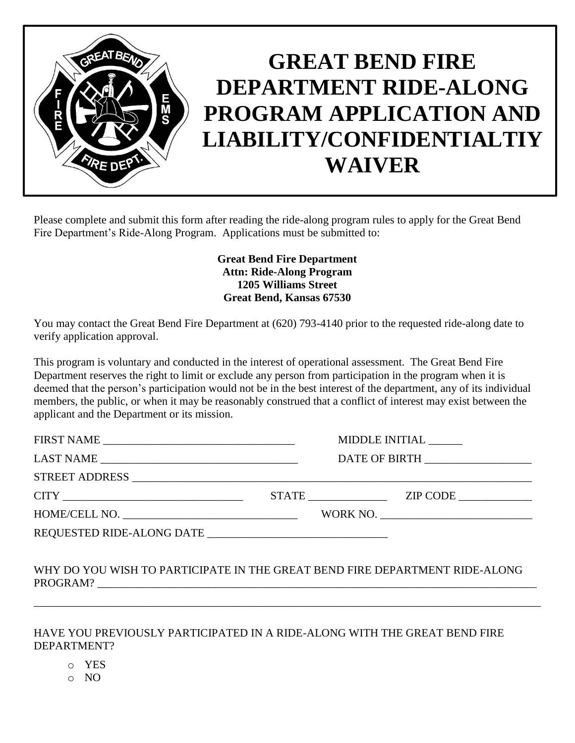

Please complete and submit this form after reading the ride-along program rules to apply for the Great Bend Fire Department's Ride-Along Program. Applications must be submitted to:

> **Great Bend Fire Department Attn: Ride-Along Program 1205 Williams Street Great Bend, Kansas 67530**

You may contact the Great Bend Fire Department at (620) 793-4140 prior to the requested ride-along date to verify application approval.

This program is voluntary and conducted in the interest of operational assessment. The Great Bend Fire Department reserves the right to limit or exclude any person from participation in the program when it is deemed that the person's participation would not be in the best interest of the department, any of its individual members, the public, or when it may be reasonably construed that a conflict of interest may exist between the applicant and the Department or its mission.

|                                   |  | MIDDLE INITIAL |
|-----------------------------------|--|----------------|
| DATE OF BIRTH ___________________ |  |                |
|                                   |  |                |
|                                   |  | STATE ZIP CODE |
|                                   |  |                |
|                                   |  |                |

## WHY DO YOU WISH TO PARTICIPATE IN THE GREAT BEND FIRE DEPARTMENT RIDE-ALONG PROGRAM?

\_\_\_\_\_\_\_\_\_\_\_\_\_\_\_\_\_\_\_\_\_\_\_\_\_\_\_\_\_\_\_\_\_\_\_\_\_\_\_\_\_\_\_\_\_\_\_\_\_\_\_\_\_\_\_\_\_\_\_\_\_\_\_\_\_\_\_\_\_\_\_\_\_\_\_\_\_\_\_\_\_\_\_\_\_\_\_\_\_\_

## HAVE YOU PREVIOUSLY PARTICIPATED IN A RIDE-ALONG WITH THE GREAT BEND FIRE DEPARTMENT?

- o YES
- o NO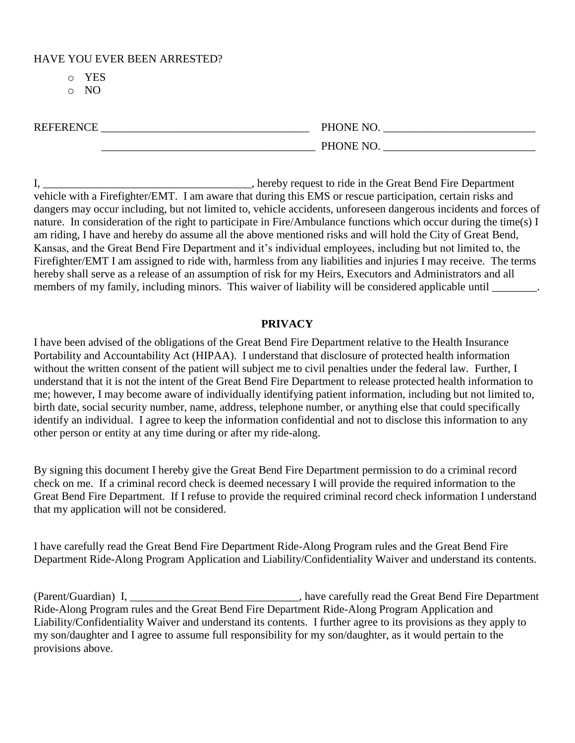HAVE YOU EVER BEEN ARRESTED?

- o YES
- o NO

| <b>REFERENCE</b> | PHONE NO. |
|------------------|-----------|
|                  | PHONE NO. |

I, \_\_\_\_\_\_\_\_\_\_\_\_\_\_\_\_\_\_\_\_\_\_\_\_\_\_\_\_\_\_\_\_\_\_\_\_\_, hereby request to ride in the Great Bend Fire Department vehicle with a Firefighter/EMT. I am aware that during this EMS or rescue participation, certain risks and dangers may occur including, but not limited to, vehicle accidents, unforeseen dangerous incidents and forces of nature. In consideration of the right to participate in Fire/Ambulance functions which occur during the time(s) I am riding, I have and hereby do assume all the above mentioned risks and will hold the City of Great Bend, Kansas, and the Great Bend Fire Department and it's individual employees, including but not limited to, the Firefighter/EMT I am assigned to ride with, harmless from any liabilities and injuries I may receive. The terms hereby shall serve as a release of an assumption of risk for my Heirs, Executors and Administrators and all members of my family, including minors. This waiver of liability will be considered applicable until

## **PRIVACY**

I have been advised of the obligations of the Great Bend Fire Department relative to the Health Insurance Portability and Accountability Act (HIPAA). I understand that disclosure of protected health information without the written consent of the patient will subject me to civil penalties under the federal law. Further, I understand that it is not the intent of the Great Bend Fire Department to release protected health information to me; however, I may become aware of individually identifying patient information, including but not limited to, birth date, social security number, name, address, telephone number, or anything else that could specifically identify an individual. I agree to keep the information confidential and not to disclose this information to any other person or entity at any time during or after my ride-along.

By signing this document I hereby give the Great Bend Fire Department permission to do a criminal record check on me. If a criminal record check is deemed necessary I will provide the required information to the Great Bend Fire Department. If I refuse to provide the required criminal record check information I understand that my application will not be considered.

I have carefully read the Great Bend Fire Department Ride-Along Program rules and the Great Bend Fire Department Ride-Along Program Application and Liability/Confidentiality Waiver and understand its contents.

(Parent/Guardian) I, \_\_\_\_\_\_\_\_\_\_\_\_\_\_\_\_\_\_\_\_\_\_\_\_\_\_\_\_\_\_, have carefully read the Great Bend Fire Department Ride-Along Program rules and the Great Bend Fire Department Ride-Along Program Application and Liability/Confidentiality Waiver and understand its contents. I further agree to its provisions as they apply to my son/daughter and I agree to assume full responsibility for my son/daughter, as it would pertain to the provisions above.